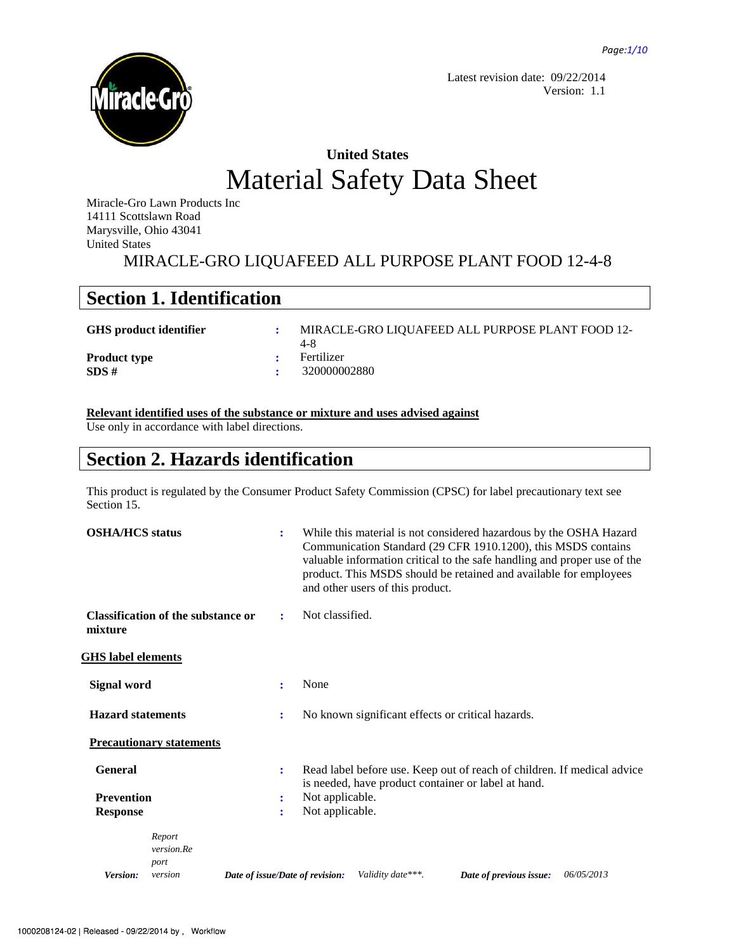

Latest revision date: 09/22/2014 Version: 1.1

# **United States** Material Safety Data Sheet

Miracle-Gro Lawn Products Inc 14111 Scottslawn Road Marysville, Ohio 43041 United States

MIRACLE-GRO LIQUAFEED ALL PURPOSE PLANT FOOD 12-4-8

## **Section 1. Identification**

GHS product identifier : MIRACLE-GRO LIQUAFEED ALL PURPOSE PLANT FOOD 12-4-8

Product type **:** Fertilizer

**SDS** #  $\qquad \qquad$  : 320000002880

### **Relevant identified uses of the substance or mixture and uses advised against**

Use only in accordance with label directions.

## **Section 2. Hazards identification**

This product is regulated by the Consumer Product Safety Commission (CPSC) for label precautionary text see Section 15.

| <b>OSHA/HCS</b> status                               | $\ddot{\cdot}$                  | While this material is not considered hazardous by the OSHA Hazard<br>Communication Standard (29 CFR 1910.1200), this MSDS contains<br>valuable information critical to the safe handling and proper use of the<br>product. This MSDS should be retained and available for employees<br>and other users of this product. |
|------------------------------------------------------|---------------------------------|--------------------------------------------------------------------------------------------------------------------------------------------------------------------------------------------------------------------------------------------------------------------------------------------------------------------------|
| <b>Classification of the substance or</b><br>mixture | ÷                               | Not classified.                                                                                                                                                                                                                                                                                                          |
| <b>GHS</b> label elements                            |                                 |                                                                                                                                                                                                                                                                                                                          |
| Signal word                                          | None<br>÷                       |                                                                                                                                                                                                                                                                                                                          |
| <b>Hazard statements</b>                             | $\ddot{\cdot}$                  | No known significant effects or critical hazards.                                                                                                                                                                                                                                                                        |
| <b>Precautionary statements</b>                      |                                 |                                                                                                                                                                                                                                                                                                                          |
| <b>General</b>                                       | ÷                               | Read label before use. Keep out of reach of children. If medical advice<br>is needed, have product container or label at hand.                                                                                                                                                                                           |
| <b>Prevention</b>                                    | ÷                               | Not applicable.                                                                                                                                                                                                                                                                                                          |
| <b>Response</b>                                      | $\ddot{\cdot}$                  | Not applicable.                                                                                                                                                                                                                                                                                                          |
| Report<br>version.Re<br>port                         |                                 |                                                                                                                                                                                                                                                                                                                          |
| Version:<br>version                                  | Date of issue/Date of revision: | Validity date***.<br>Date of previous issue:<br>06/05/2013                                                                                                                                                                                                                                                               |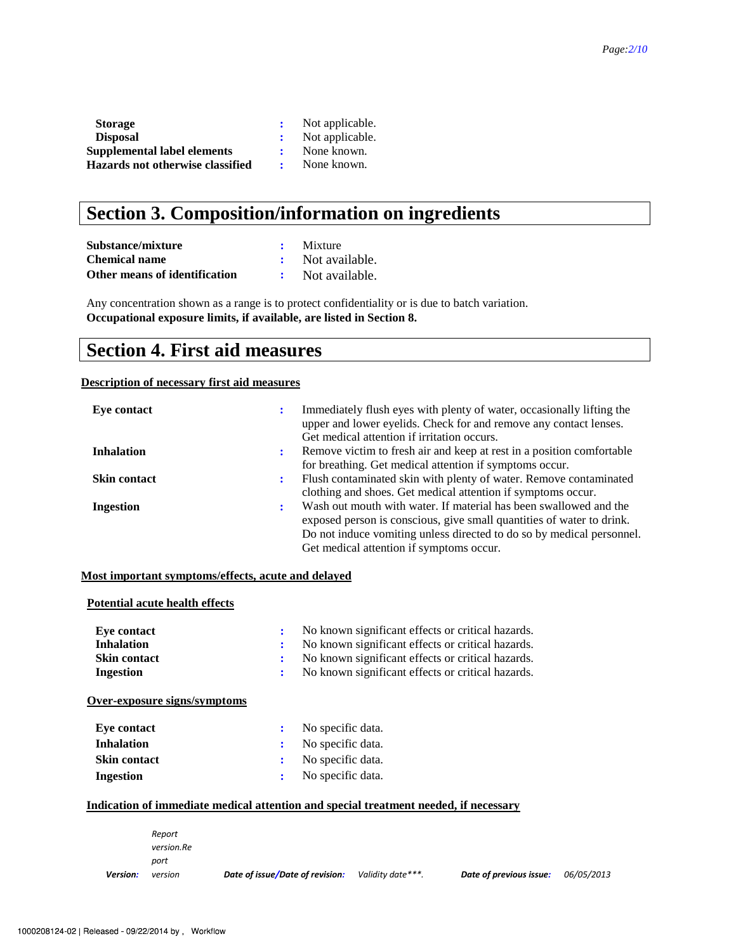| <b>Storage</b>                   | Not applicable. |
|----------------------------------|-----------------|
| <b>Disposal</b>                  | Not applicable. |
| Supplemental label elements      | None known.     |
| Hazards not otherwise classified | None known.     |

## **Section 3. Composition/information on ingredients**

| Substance/mixture             | $\cdot$ Mixture  |
|-------------------------------|------------------|
| <b>Chemical name</b>          | : Not available. |
| Other means of identification | Not available.   |

Any concentration shown as a range is to protect confidentiality or is due to batch variation. **Occupational exposure limits, if available, are listed in Section 8.**

### **Section 4. First aid measures**

### **Description of necessary first aid measures**

| Eve contact         | ٠ | Immediately flush eyes with plenty of water, occasionally lifting the<br>upper and lower eyelids. Check for and remove any contact lenses.<br>Get medical attention if irritation occurs.                                                                       |
|---------------------|---|-----------------------------------------------------------------------------------------------------------------------------------------------------------------------------------------------------------------------------------------------------------------|
| <b>Inhalation</b>   | ÷ | Remove victim to fresh air and keep at rest in a position comfortable<br>for breathing. Get medical attention if symptoms occur.                                                                                                                                |
| <b>Skin contact</b> | ٠ | Flush contaminated skin with plenty of water. Remove contaminated<br>clothing and shoes. Get medical attention if symptoms occur.                                                                                                                               |
| Ingestion           | ÷ | Wash out mouth with water. If material has been swallowed and the<br>exposed person is conscious, give small quantities of water to drink.<br>Do not induce vomiting unless directed to do so by medical personnel.<br>Get medical attention if symptoms occur. |

### **Most important symptoms/effects, acute and delayed**

| <b>Potential acute health effects</b> |        |                                                   |
|---------------------------------------|--------|---------------------------------------------------|
| Eve contact                           | ÷      | No known significant effects or critical hazards. |
| <b>Inhalation</b>                     | ٠<br>÷ | No known significant effects or critical hazards. |
| <b>Skin contact</b>                   | ፡      | No known significant effects or critical hazards. |
| Ingestion                             | ÷      | No known significant effects or critical hazards. |
| Over-exposure signs/symptoms          |        |                                                   |
|                                       |        |                                                   |
| <b>Eye contact</b>                    | ÷      | No specific data.                                 |
| <b>Inhalation</b>                     | ÷      | No specific data.                                 |
| <b>Skin contact</b>                   | ÷      | No specific data.                                 |

### **Indication of immediate medical attention and special treatment needed, if necessary**

|                 | Report     |                                 |                   |                         |                   |
|-----------------|------------|---------------------------------|-------------------|-------------------------|-------------------|
|                 | version.Re |                                 |                   |                         |                   |
|                 | port       |                                 |                   |                         |                   |
| <b>Version:</b> | version    | Date of issue/Date of revision: | Validity date***. | Date of previous issue: | <i>06/05/2013</i> |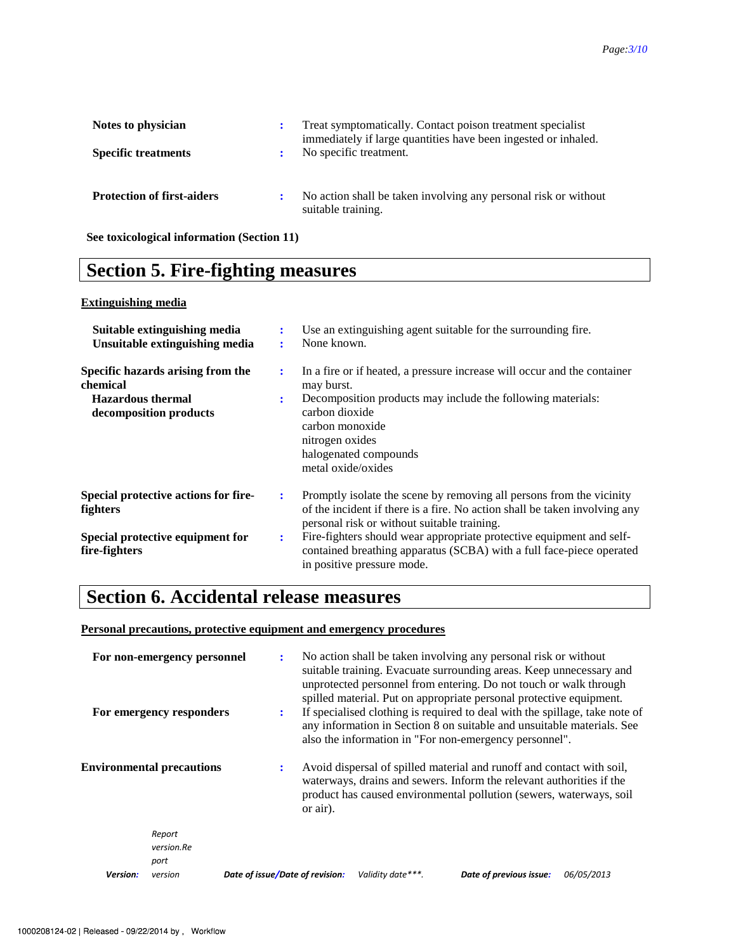| Notes to physician<br><b>Specific treatments</b> | ÷ | Treat symptomatically. Contact poison treatment specialist<br>immediately if large quantities have been ingested or inhaled.<br>No specific treatment. |
|--------------------------------------------------|---|--------------------------------------------------------------------------------------------------------------------------------------------------------|
| <b>Protection of first-aiders</b>                | ÷ | No action shall be taken involving any personal risk or without<br>suitable training.                                                                  |

**See toxicological information (Section 11)** 

## **Section 5. Fire-fighting measures**

### **Extinguishing media**

| Suitable extinguishing media<br>Unsuitable extinguishing media                                      | ÷                   | Use an extinguishing agent suitable for the surrounding fire.<br>None known.                                                                                                                                                                                              |
|-----------------------------------------------------------------------------------------------------|---------------------|---------------------------------------------------------------------------------------------------------------------------------------------------------------------------------------------------------------------------------------------------------------------------|
| Specific hazards arising from the<br>chemical<br><b>Hazardous thermal</b><br>decomposition products | ÷<br>$\ddot{\cdot}$ | In a fire or if heated, a pressure increase will occur and the container<br>may burst.<br>Decomposition products may include the following materials:<br>carbon dioxide<br>carbon monoxide<br>nitrogen oxides<br>halogenated compounds<br>metal oxide/oxides              |
| Special protective actions for fire-<br>fighters                                                    | ÷                   | Promptly isolate the scene by removing all persons from the vicinity<br>of the incident if there is a fire. No action shall be taken involving any<br>personal risk or without suitable training.<br>Fire-fighters should wear appropriate protective equipment and self- |
| Special protective equipment for<br>fire-fighters                                                   | $\ddot{\cdot}$      | contained breathing apparatus (SCBA) with a full face-piece operated<br>in positive pressure mode.                                                                                                                                                                        |

## **Section 6. Accidental release measures**

### **Personal precautions, protective equipment and emergency procedures**

| For non-emergency personnel<br>For emergency responders | $\ddot{\cdot}$<br>$\ddot{\cdot}$ | No action shall be taken involving any personal risk or without<br>suitable training. Evacuate surrounding areas. Keep unnecessary and<br>unprotected personnel from entering. Do not touch or walk through<br>spilled material. Put on appropriate personal protective equipment.<br>If specialised clothing is required to deal with the spillage, take note of<br>any information in Section 8 on suitable and unsuitable materials. See<br>also the information in "For non-emergency personnel". |                                                                                                                                                                                                                      |                   |
|---------------------------------------------------------|----------------------------------|-------------------------------------------------------------------------------------------------------------------------------------------------------------------------------------------------------------------------------------------------------------------------------------------------------------------------------------------------------------------------------------------------------------------------------------------------------------------------------------------------------|----------------------------------------------------------------------------------------------------------------------------------------------------------------------------------------------------------------------|-------------------|
| <b>Environmental precautions</b>                        | ÷<br>or air).                    |                                                                                                                                                                                                                                                                                                                                                                                                                                                                                                       | Avoid dispersal of spilled material and runoff and contact with soil,<br>waterways, drains and sewers. Inform the relevant authorities if the<br>product has caused environmental pollution (sewers, waterways, soil |                   |
| Report<br>version.Re<br>port                            |                                  |                                                                                                                                                                                                                                                                                                                                                                                                                                                                                                       |                                                                                                                                                                                                                      |                   |
| Version:<br>version                                     | Date of issue/Date of revision:  | Validity date***.                                                                                                                                                                                                                                                                                                                                                                                                                                                                                     | Date of previous issue:                                                                                                                                                                                              | <i>06/05/2013</i> |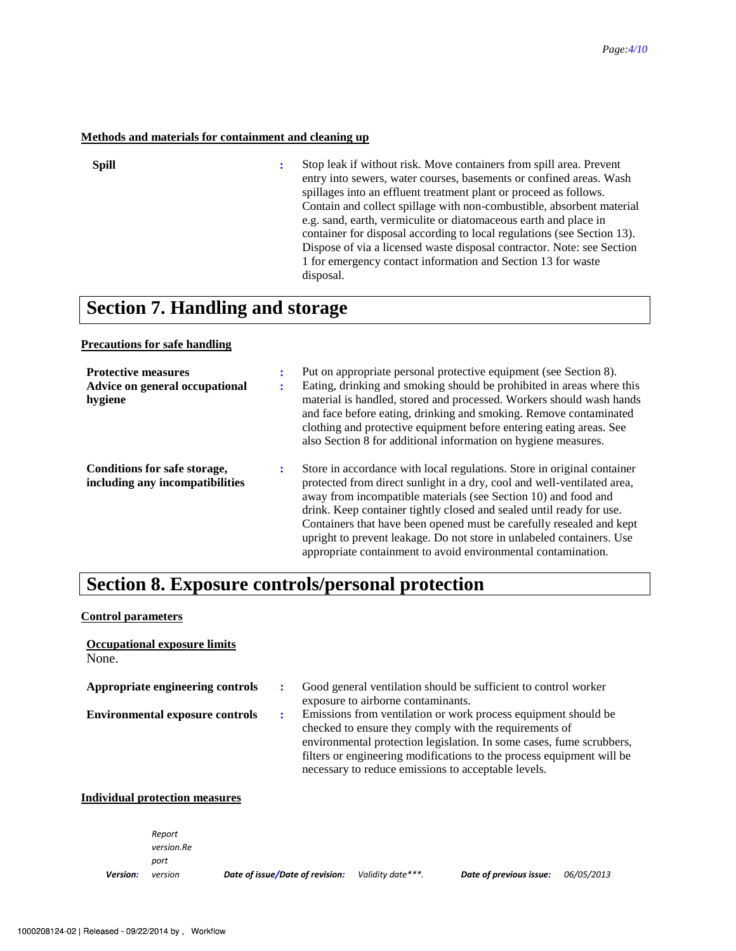### **Methods and materials for containment and cleaning up**

| ۰. |  |
|----|--|

**:** Stop leak if without risk. Move containers from spill area. Prevent entry into sewers, water courses, basements or confined areas. Wash spillages into an effluent treatment plant or proceed as follows. Contain and collect spillage with non-combustible, absorbent material e.g. sand, earth, vermiculite or diatomaceous earth and place in container for disposal according to local regulations (see Section 13). Dispose of via a licensed waste disposal contractor. Note: see Section 1 for emergency contact information and Section 13 for waste disposal.

### **Section 7. Handling and storage**

#### **Precautions for safe handling**

| <b>Protective measures</b><br>Advice on general occupational<br>hygiene | ÷<br>٠<br>$\mathbf{r}$ | Put on appropriate personal protective equipment (see Section 8).<br>Eating, drinking and smoking should be prohibited in areas where this<br>material is handled, stored and processed. Workers should wash hands<br>and face before eating, drinking and smoking. Remove contaminated<br>clothing and protective equipment before entering eating areas. See<br>also Section 8 for additional information on hygiene measures.                                                                               |
|-------------------------------------------------------------------------|------------------------|----------------------------------------------------------------------------------------------------------------------------------------------------------------------------------------------------------------------------------------------------------------------------------------------------------------------------------------------------------------------------------------------------------------------------------------------------------------------------------------------------------------|
| Conditions for safe storage,<br>including any incompatibilities         | ÷                      | Store in accordance with local regulations. Store in original container<br>protected from direct sunlight in a dry, cool and well-ventilated area,<br>away from incompatible materials (see Section 10) and food and<br>drink. Keep container tightly closed and sealed until ready for use.<br>Containers that have been opened must be carefully resealed and kept<br>upright to prevent leakage. Do not store in unlabeled containers. Use<br>appropriate containment to avoid environmental contamination. |

# **Section 8. Exposure controls/personal protection**

#### **Control parameters**

| <b>Occupational exposure limits</b><br>None. |                                                                                                                                                                                                                                                                                                                                  |
|----------------------------------------------|----------------------------------------------------------------------------------------------------------------------------------------------------------------------------------------------------------------------------------------------------------------------------------------------------------------------------------|
| Appropriate engineering controls             | Good general ventilation should be sufficient to control worker<br>exposure to airborne contaminants.                                                                                                                                                                                                                            |
| <b>Environmental exposure controls</b>       | Emissions from ventilation or work process equipment should be<br>checked to ensure they comply with the requirements of<br>environmental protection legislation. In some cases, fume scrubbers,<br>filters or engineering modifications to the process equipment will be<br>necessary to reduce emissions to acceptable levels. |

#### **Individual protection measures**

|          | Report<br>version.Re<br>port |                                 |                   |                         |            |
|----------|------------------------------|---------------------------------|-------------------|-------------------------|------------|
| Version: | version                      | Date of issue/Date of revision: | Validity date***. | Date of previous issue: | 06/05/2013 |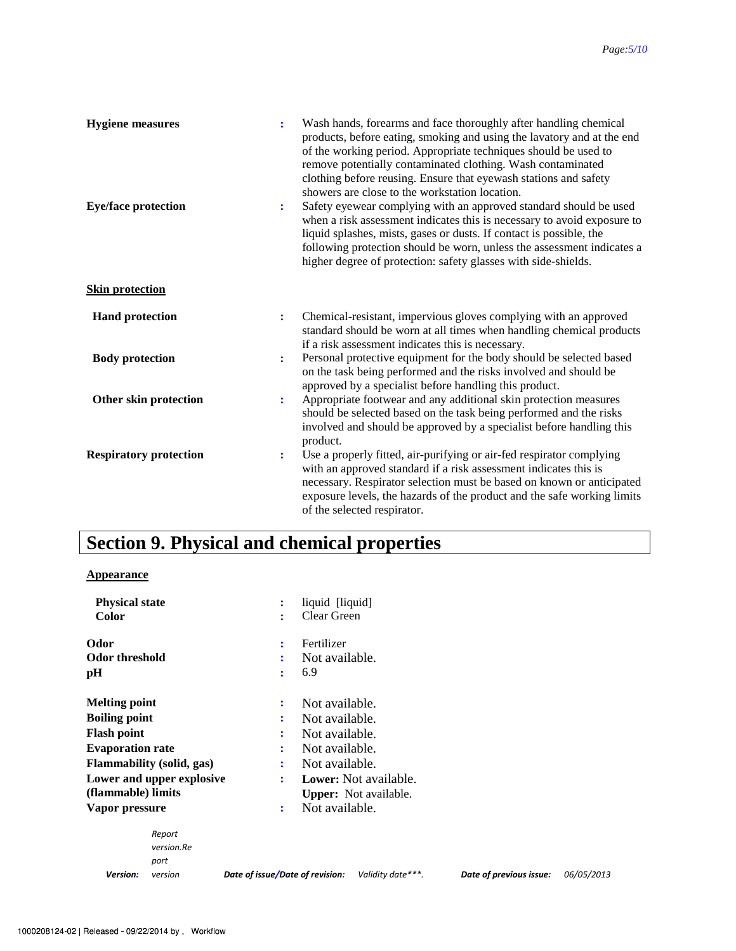| <b>Hygiene</b> measures<br><b>Eye/face protection</b> | ÷<br>$\ddot{\cdot}$ | Wash hands, forearms and face thoroughly after handling chemical<br>products, before eating, smoking and using the lavatory and at the end<br>of the working period. Appropriate techniques should be used to<br>remove potentially contaminated clothing. Wash contaminated<br>clothing before reusing. Ensure that eyewash stations and safety<br>showers are close to the workstation location.<br>Safety eyewear complying with an approved standard should be used<br>when a risk assessment indicates this is necessary to avoid exposure to<br>liquid splashes, mists, gases or dusts. If contact is possible, the<br>following protection should be worn, unless the assessment indicates a<br>higher degree of protection: safety glasses with side-shields. |
|-------------------------------------------------------|---------------------|-----------------------------------------------------------------------------------------------------------------------------------------------------------------------------------------------------------------------------------------------------------------------------------------------------------------------------------------------------------------------------------------------------------------------------------------------------------------------------------------------------------------------------------------------------------------------------------------------------------------------------------------------------------------------------------------------------------------------------------------------------------------------|
| <b>Skin protection</b>                                |                     |                                                                                                                                                                                                                                                                                                                                                                                                                                                                                                                                                                                                                                                                                                                                                                       |
| <b>Hand protection</b>                                | $\ddot{\cdot}$      | Chemical-resistant, impervious gloves complying with an approved<br>standard should be worn at all times when handling chemical products<br>if a risk assessment indicates this is necessary.                                                                                                                                                                                                                                                                                                                                                                                                                                                                                                                                                                         |
| <b>Body protection</b>                                | $\ddot{\cdot}$      | Personal protective equipment for the body should be selected based<br>on the task being performed and the risks involved and should be<br>approved by a specialist before handling this product.                                                                                                                                                                                                                                                                                                                                                                                                                                                                                                                                                                     |
| Other skin protection                                 | $\ddot{\cdot}$      | Appropriate footwear and any additional skin protection measures<br>should be selected based on the task being performed and the risks<br>involved and should be approved by a specialist before handling this<br>product.                                                                                                                                                                                                                                                                                                                                                                                                                                                                                                                                            |
| <b>Respiratory protection</b>                         | $\ddot{\cdot}$      | Use a properly fitted, air-purifying or air-fed respirator complying<br>with an approved standard if a risk assessment indicates this is<br>necessary. Respirator selection must be based on known or anticipated<br>exposure levels, the hazards of the product and the safe working limits<br>of the selected respirator.                                                                                                                                                                                                                                                                                                                                                                                                                                           |

# **Section 9. Physical and chemical properties**

### **Appearance**

| <b>Physical state</b><br>Color      | liquid [liquid]<br>÷<br>Clear Green           |
|-------------------------------------|-----------------------------------------------|
| Odor<br><b>Odor threshold</b><br>pН | Fertilizer<br>÷<br>Not available.<br>6.9<br>÷ |
| <b>Melting point</b>                | Not available.<br>÷                           |
| <b>Boiling point</b>                | Not available.<br>÷                           |
| <b>Flash point</b>                  | Not available.<br>÷                           |
| <b>Evaporation rate</b>             | Not available.<br>÷                           |
| <b>Flammability</b> (solid, gas)    | Not available.<br>÷                           |
| Lower and upper explosive           | Lower: Not available.<br>÷                    |
| (flammable) limits                  | <b>Upper:</b> Not available.                  |
| Vapor pressure                      | Not available.<br>÷                           |
| Report<br>version.Re<br>port        |                                               |

| Version: | veı |
|----------|-----|

*version Date of issue/Date of revision: Validity date\*\*\*. Date of previous issue: 06/05/2013*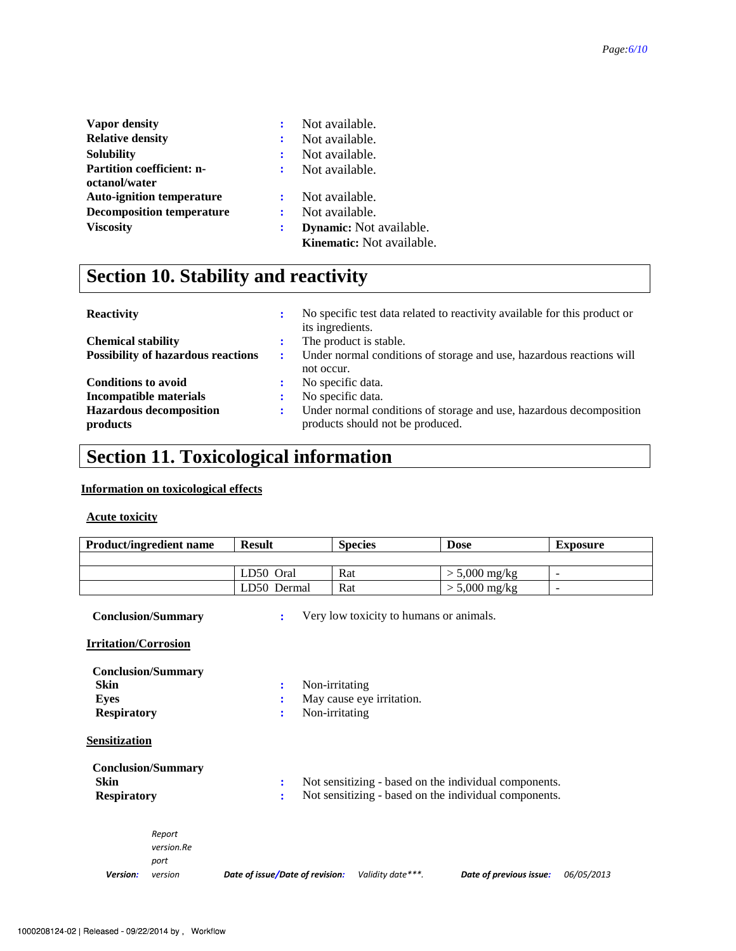| <b>Vapor density</b>             | ÷ | Not available.                 |
|----------------------------------|---|--------------------------------|
| <b>Relative density</b>          |   | Not available.                 |
| <b>Solubility</b>                |   | Not available.                 |
| <b>Partition coefficient: n-</b> |   | Not available.                 |
| octanol/water                    |   |                                |
| <b>Auto-ignition temperature</b> |   | Not available.                 |
| <b>Decomposition temperature</b> | ÷ | Not available.                 |
| <b>Viscosity</b>                 | ÷ | <b>Dynamic:</b> Not available. |
|                                  |   | Kinematic: Not available.      |

# **Section 10. Stability and reactivity**

| <b>Reactivity</b>                         | ÷ | No specific test data related to reactivity available for this product or<br>its ingredients. |
|-------------------------------------------|---|-----------------------------------------------------------------------------------------------|
| <b>Chemical stability</b>                 |   | The product is stable.                                                                        |
| <b>Possibility of hazardous reactions</b> | ÷ | Under normal conditions of storage and use, hazardous reactions will                          |
|                                           |   | not occur.                                                                                    |
| <b>Conditions to avoid</b>                |   | No specific data.                                                                             |
| Incompatible materials                    |   | No specific data.                                                                             |
| <b>Hazardous decomposition</b>            | ÷ | Under normal conditions of storage and use, hazardous decomposition                           |
| products                                  |   | products should not be produced.                                                              |

# **Section 11. Toxicological information**

### **Information on toxicological effects**

### **Acute toxicity**

| <b>Product/ingredient name</b>                            |                                         | <b>Result</b>                   | <b>Species</b>                                                | <b>Dose</b>                                                                                                    | <b>Exposure</b>          |
|-----------------------------------------------------------|-----------------------------------------|---------------------------------|---------------------------------------------------------------|----------------------------------------------------------------------------------------------------------------|--------------------------|
|                                                           |                                         |                                 |                                                               |                                                                                                                |                          |
|                                                           |                                         | LD50 Oral                       | Rat                                                           | $> 5,000$ mg/kg                                                                                                | $\overline{\phantom{a}}$ |
|                                                           |                                         | LD50 Dermal                     | Rat                                                           | $> 5,000$ mg/kg                                                                                                | $\overline{\phantom{m}}$ |
|                                                           | <b>Conclusion/Summary</b>               | ÷                               | Very low toxicity to humans or animals.                       |                                                                                                                |                          |
| <b>Irritation/Corrosion</b>                               |                                         |                                 |                                                               |                                                                                                                |                          |
| Skin<br><b>Eyes</b><br><b>Respiratory</b>                 | <b>Conclusion/Summary</b>               | ÷                               | Non-irritating<br>May cause eye irritation.<br>Non-irritating |                                                                                                                |                          |
| <b>Sensitization</b><br><b>Skin</b><br><b>Respiratory</b> | <b>Conclusion/Summary</b>               | ÷<br>÷                          |                                                               | Not sensitizing - based on the individual components.<br>Not sensitizing - based on the individual components. |                          |
| Version:                                                  | Report<br>version.Re<br>port<br>version | Date of issue/Date of revision: | Validity date***.                                             | Date of previous issue:                                                                                        | 06/05/2013               |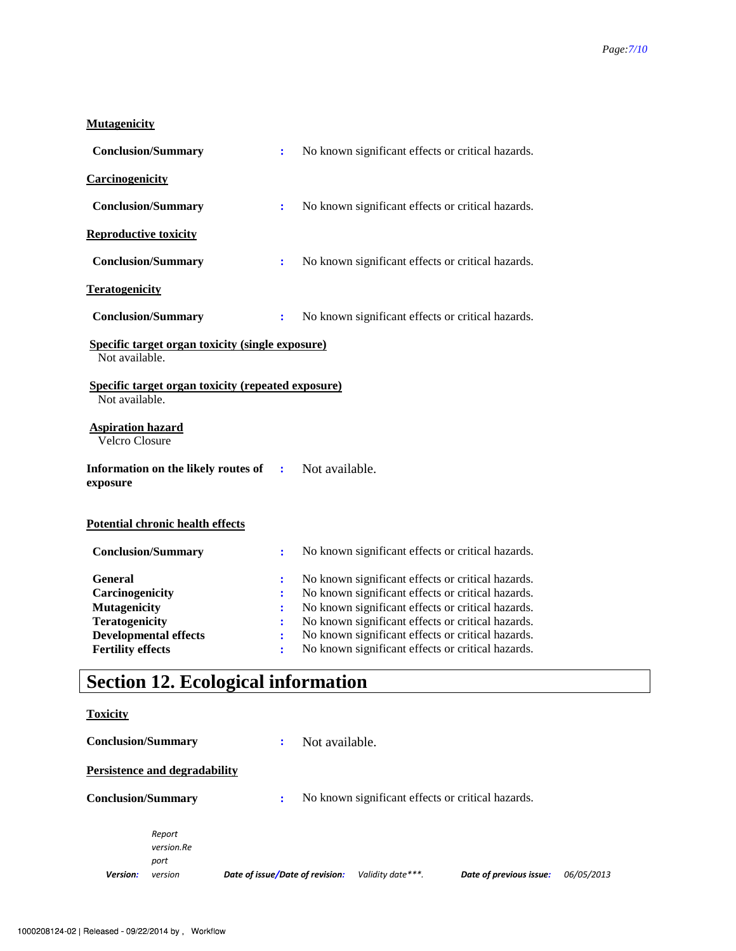### **Mutagenicity**

| <b>Conclusion/Summary</b>                                                                                                                     | $\ddot{\cdot}$                | No known significant effects or critical hazards.                                                                                                                                                                                                                                                                          |
|-----------------------------------------------------------------------------------------------------------------------------------------------|-------------------------------|----------------------------------------------------------------------------------------------------------------------------------------------------------------------------------------------------------------------------------------------------------------------------------------------------------------------------|
| Carcinogenicity                                                                                                                               |                               |                                                                                                                                                                                                                                                                                                                            |
| <b>Conclusion/Summary</b>                                                                                                                     | ÷                             | No known significant effects or critical hazards.                                                                                                                                                                                                                                                                          |
| <b>Reproductive toxicity</b>                                                                                                                  |                               |                                                                                                                                                                                                                                                                                                                            |
| <b>Conclusion/Summary</b>                                                                                                                     | ÷                             | No known significant effects or critical hazards.                                                                                                                                                                                                                                                                          |
| <b>Teratogenicity</b>                                                                                                                         |                               |                                                                                                                                                                                                                                                                                                                            |
| <b>Conclusion/Summary</b>                                                                                                                     | $\ddot{\cdot}$                | No known significant effects or critical hazards.                                                                                                                                                                                                                                                                          |
| <b>Specific target organ toxicity (single exposure)</b><br>Not available.                                                                     |                               |                                                                                                                                                                                                                                                                                                                            |
| <b>Specific target organ toxicity (repeated exposure)</b><br>Not available.                                                                   |                               |                                                                                                                                                                                                                                                                                                                            |
| <b>Aspiration hazard</b><br><b>Velcro Closure</b>                                                                                             |                               |                                                                                                                                                                                                                                                                                                                            |
| Information on the likely routes of<br>exposure                                                                                               | ÷                             | Not available.                                                                                                                                                                                                                                                                                                             |
| <b>Potential chronic health effects</b>                                                                                                       |                               |                                                                                                                                                                                                                                                                                                                            |
| <b>Conclusion/Summary</b>                                                                                                                     | $\ddot{\cdot}$                | No known significant effects or critical hazards.                                                                                                                                                                                                                                                                          |
| <b>General</b><br>Carcinogenicity<br><b>Mutagenicity</b><br><b>Teratogenicity</b><br><b>Developmental effects</b><br><b>Fertility effects</b> | $\ddot{\cdot}$<br>÷<br>÷<br>÷ | No known significant effects or critical hazards.<br>No known significant effects or critical hazards.<br>No known significant effects or critical hazards.<br>No known significant effects or critical hazards.<br>No known significant effects or critical hazards.<br>No known significant effects or critical hazards. |

# **Section 12. Ecological information**

### **Toxicity**

| <b>Conclusion/Summary</b> |                                      | ٠                               | Not available.                                    |                         |            |
|---------------------------|--------------------------------------|---------------------------------|---------------------------------------------------|-------------------------|------------|
|                           | <b>Persistence and degradability</b> |                                 |                                                   |                         |            |
| <b>Conclusion/Summary</b> |                                      | ÷                               | No known significant effects or critical hazards. |                         |            |
|                           | Report<br>version.Re<br>port         |                                 |                                                   |                         |            |
| <b>Version:</b>           | version                              | Date of issue/Date of revision: | Validity date***.                                 | Date of previous issue: | 06/05/2013 |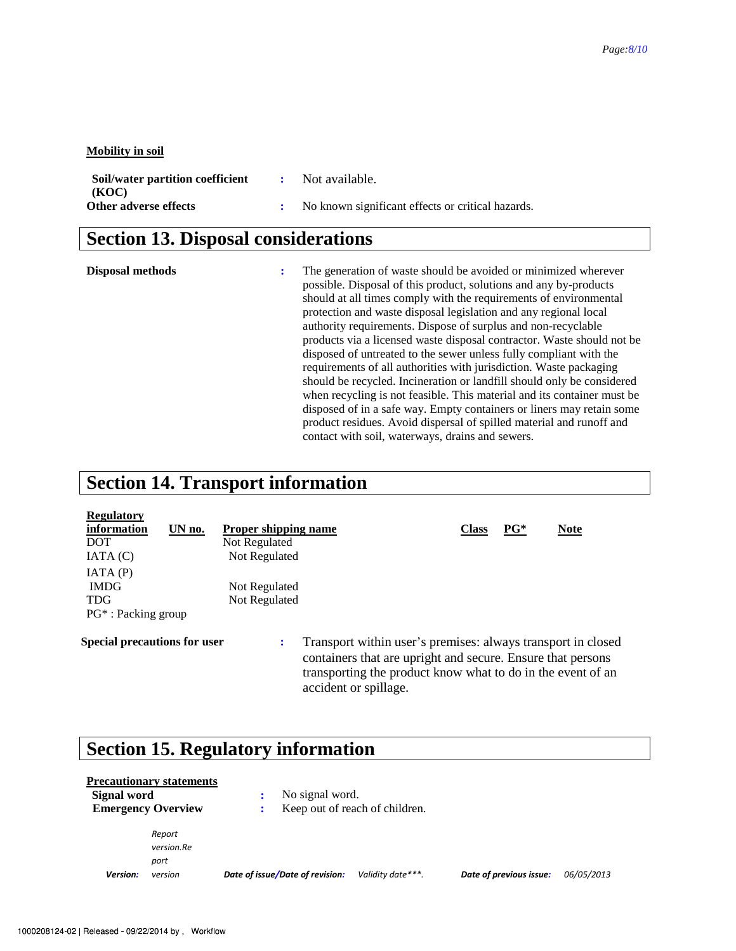#### **Mobility in soil**

| Soil/water partition coefficient | Not available.                                    |
|----------------------------------|---------------------------------------------------|
| (KOC)                            |                                                   |
| Other adverse effects            | No known significant effects or critical hazards. |

## **Section 13. Disposal considerations**

**Disposal methods :** The generation of waste should be avoided or minimized wherever possible. Disposal of this product, solutions and any by-products should at all times comply with the requirements of environmental protection and waste disposal legislation and any regional local authority requirements. Dispose of surplus and non-recyclable products via a licensed waste disposal contractor. Waste should not be disposed of untreated to the sewer unless fully compliant with the requirements of all authorities with jurisdiction. Waste packaging should be recycled. Incineration or landfill should only be considered when recycling is not feasible. This material and its container must be disposed of in a safe way. Empty containers or liners may retain some product residues. Avoid dispersal of spilled material and runoff and contact with soil, waterways, drains and sewers.

### **Section 14. Transport information**

| <b>Regulatory</b>                   |        |                      |                                                                                                                                                                                            |              |        |             |  |
|-------------------------------------|--------|----------------------|--------------------------------------------------------------------------------------------------------------------------------------------------------------------------------------------|--------------|--------|-------------|--|
| information                         | UN no. | Proper shipping name |                                                                                                                                                                                            | <b>Class</b> | $PG^*$ | <b>Note</b> |  |
| <b>DOT</b>                          |        | Not Regulated        |                                                                                                                                                                                            |              |        |             |  |
| IATA(C)                             |        | Not Regulated        |                                                                                                                                                                                            |              |        |             |  |
| IATA(P)                             |        |                      |                                                                                                                                                                                            |              |        |             |  |
| <b>IMDG</b>                         |        | Not Regulated        |                                                                                                                                                                                            |              |        |             |  |
| <b>TDG</b>                          |        | Not Regulated        |                                                                                                                                                                                            |              |        |             |  |
| $PG^*$ : Packing group              |        |                      |                                                                                                                                                                                            |              |        |             |  |
| <b>Special precautions for user</b> |        | :                    | Transport within user's premises: always transport in closed<br>containers that are upright and secure. Ensure that persons<br>transporting the product know what to do in the event of an |              |        |             |  |

accident or spillage.

## **Section 15. Regulatory information**

|             | <b>Precautionary statements</b> |                      |                                 |                                |                         |            |
|-------------|---------------------------------|----------------------|---------------------------------|--------------------------------|-------------------------|------------|
| Signal word |                                 | ÷                    | No signal word.                 |                                |                         |            |
|             | <b>Emergency Overview</b>       | $\ddot{\phantom{a}}$ |                                 | Keep out of reach of children. |                         |            |
|             | Report                          |                      |                                 |                                |                         |            |
|             | version.Re                      |                      |                                 |                                |                         |            |
|             | port                            |                      |                                 |                                |                         |            |
| Version:    | version                         |                      | Date of issue/Date of revision: | Validity date***.              | Date of previous issue: | 06/05/2013 |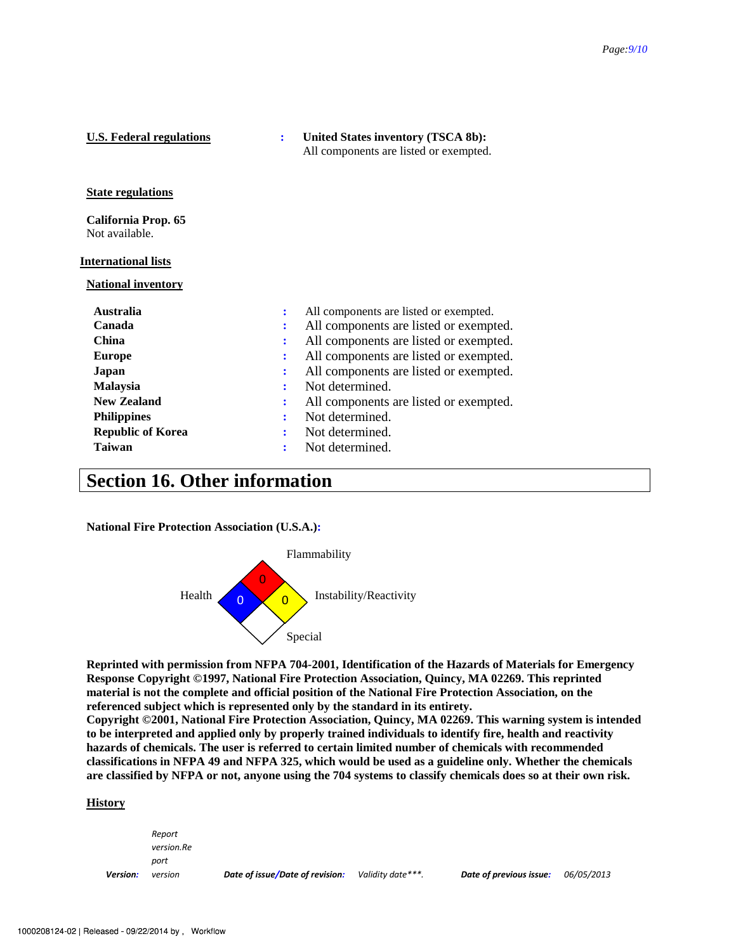| <b>U.S. Federal regulations</b>       |   | United States inventory (TSCA 8b):<br>All components are listed or exempted. |  |
|---------------------------------------|---|------------------------------------------------------------------------------|--|
| <b>State regulations</b>              |   |                                                                              |  |
| California Prop. 65<br>Not available. |   |                                                                              |  |
| <u>International lists</u>            |   |                                                                              |  |
| <b>National inventory</b>             |   |                                                                              |  |
| Australia                             | ÷ | All components are listed or exempted.                                       |  |
| Canada                                | ÷ | All components are listed or exempted.                                       |  |
| <b>China</b>                          |   | All components are listed or exempted.                                       |  |
| <b>Europe</b>                         |   | All components are listed or exempted.                                       |  |
| Japan                                 |   | All components are listed or exempted.                                       |  |
| Malaysia                              | ÷ | Not determined.                                                              |  |
| <b>New Zealand</b>                    | ፡ | All components are listed or exempted.                                       |  |
| <b>Philippines</b>                    |   | Not determined.                                                              |  |
| <b>Republic of Korea</b>              |   | Not determined.                                                              |  |
| <b>Taiwan</b>                         |   | Not determined.                                                              |  |
|                                       |   |                                                                              |  |

### **Section 16. Other information**

**National Fire Protection Association (U.S.A.):** 



**Reprinted with permission from NFPA 704-2001, Identification of the Hazards of Materials for Emergency Response Copyright ©1997, National Fire Protection Association, Quincy, MA 02269. This reprinted material is not the complete and official position of the National Fire Protection Association, on the referenced subject which is represented only by the standard in its entirety.** 

**Copyright ©2001, National Fire Protection Association, Quincy, MA 02269. This warning system is intended to be interpreted and applied only by properly trained individuals to identify fire, health and reactivity hazards of chemicals. The user is referred to certain limited number of chemicals with recommended classifications in NFPA 49 and NFPA 325, which would be used as a guideline only. Whether the chemicals are classified by NFPA or not, anyone using the 704 systems to classify chemicals does so at their own risk.** 

#### **History**

*Version: Report version.Re port version Date of issue/Date of revision: Validity date\*\*\*. Date of previous issue: 06/05/2013*